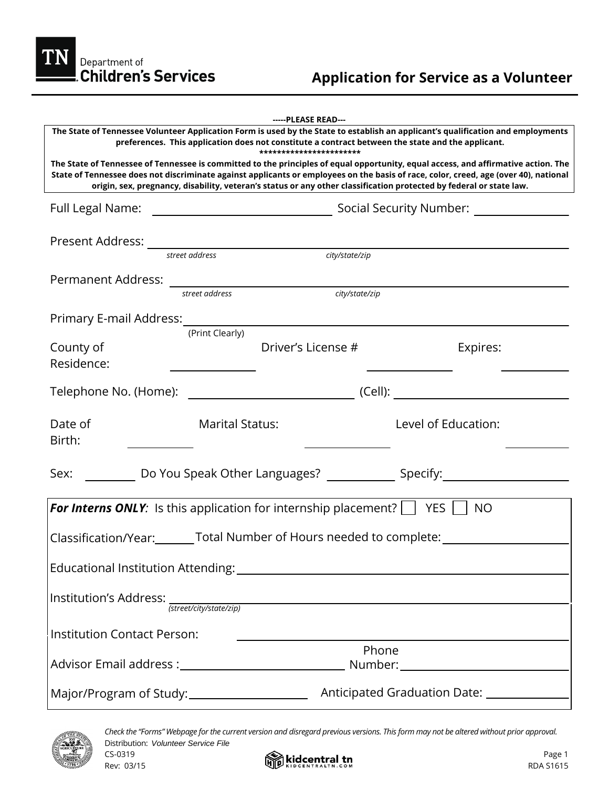TN Department of<br>Children's Services

|                                                                                                                                                                                                                                                                                                                                                                                                                              |                        | -----PLEASE READ--- |                |                                                                                                     |
|------------------------------------------------------------------------------------------------------------------------------------------------------------------------------------------------------------------------------------------------------------------------------------------------------------------------------------------------------------------------------------------------------------------------------|------------------------|---------------------|----------------|-----------------------------------------------------------------------------------------------------|
| The State of Tennessee Volunteer Application Form is used by the State to establish an applicant's qualification and employments<br>preferences. This application does not constitute a contract between the state and the applicant.                                                                                                                                                                                        |                        |                     |                |                                                                                                     |
| ***********************<br>The State of Tennessee of Tennessee is committed to the principles of equal opportunity, equal access, and affirmative action. The<br>State of Tennessee does not discriminate against applicants or employees on the basis of race, color, creed, age (over 40), national<br>origin, sex, pregnancy, disability, veteran's status or any other classification protected by federal or state law. |                        |                     |                |                                                                                                     |
|                                                                                                                                                                                                                                                                                                                                                                                                                              |                        |                     |                |                                                                                                     |
|                                                                                                                                                                                                                                                                                                                                                                                                                              |                        |                     |                |                                                                                                     |
|                                                                                                                                                                                                                                                                                                                                                                                                                              |                        |                     | city/state/zip |                                                                                                     |
|                                                                                                                                                                                                                                                                                                                                                                                                                              |                        |                     |                |                                                                                                     |
|                                                                                                                                                                                                                                                                                                                                                                                                                              |                        |                     | city/state/zip |                                                                                                     |
| Primary E-mail Address: (Print Clearly)                                                                                                                                                                                                                                                                                                                                                                                      |                        |                     |                |                                                                                                     |
| County of<br>Residence:                                                                                                                                                                                                                                                                                                                                                                                                      |                        | Driver's License #  |                | Expires:                                                                                            |
|                                                                                                                                                                                                                                                                                                                                                                                                                              |                        |                     |                |                                                                                                     |
| Date of<br>Birth:                                                                                                                                                                                                                                                                                                                                                                                                            | <b>Marital Status:</b> |                     |                | Level of Education:                                                                                 |
|                                                                                                                                                                                                                                                                                                                                                                                                                              |                        |                     |                | Sex: ____________Do You Speak Other Languages? _______________Specify:_____________________________ |
|                                                                                                                                                                                                                                                                                                                                                                                                                              |                        |                     |                |                                                                                                     |
| <b>For Interns ONLY:</b> Is this application for internship placement? $\Box$ YES $\Box$ NO<br>Classification/Year:________Total Number of Hours needed to complete: _________                                                                                                                                                                                                                                               |                        |                     |                |                                                                                                     |
|                                                                                                                                                                                                                                                                                                                                                                                                                              |                        |                     |                |                                                                                                     |
| Institution's Address:<br>Street/city/state/zip)                                                                                                                                                                                                                                                                                                                                                                             |                        |                     |                |                                                                                                     |
| <b>Institution Contact Person:</b>                                                                                                                                                                                                                                                                                                                                                                                           |                        |                     | Phone          |                                                                                                     |
|                                                                                                                                                                                                                                                                                                                                                                                                                              |                        |                     |                |                                                                                                     |
| Major/Program of Study:_____________________                                                                                                                                                                                                                                                                                                                                                                                 |                        |                     |                | Anticipated Graduation Date: _______________                                                        |



*Check the "Forms" Webpage for the current version and disregard previous versions. This form may not be altered without prior approval.* Distribution: *Volunteer Service File*  $\sim$  CS-0319 Page 1

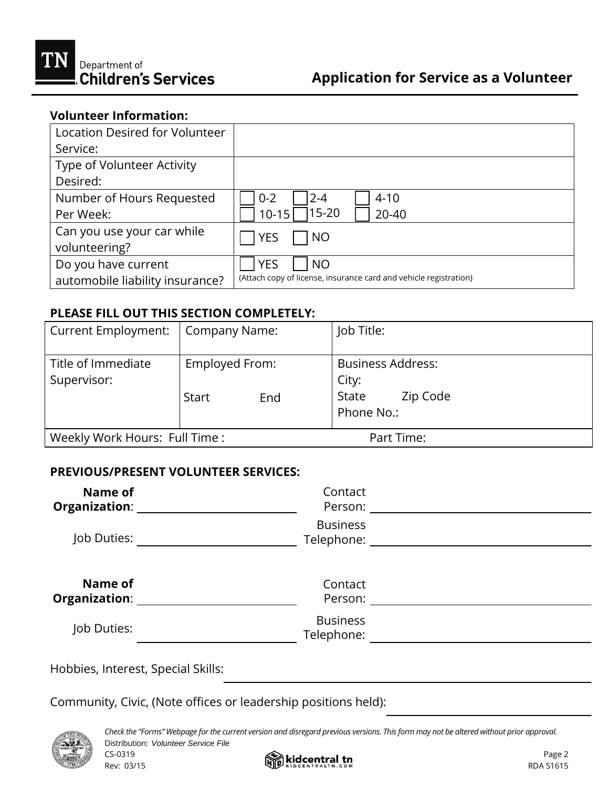

## **Volunteer Information:**

| Location Desired for Volunteer  |                                                                   |
|---------------------------------|-------------------------------------------------------------------|
| Service:                        |                                                                   |
| Type of Volunteer Activity      |                                                                   |
| Desired:                        |                                                                   |
| Number of Hours Requested       | $4 - 10$<br>$0 - 2$<br>$2 - 4$                                    |
| Per Week:                       | 15-20<br>$10 - 15$<br>20-40                                       |
| Can you use your car while      | <b>YES</b><br><b>NO</b>                                           |
| volunteering?                   |                                                                   |
| Do you have current             | <b>YES</b><br><b>NO</b>                                           |
| automobile liability insurance? | (Attach copy of license, insurance card and vehicle registration) |

## **PLEASE FILL OUT THIS SECTION COMPLETELY:**

| <b>Current Employment:</b>        | Company Name:                         | Job Title:                                                           |
|-----------------------------------|---------------------------------------|----------------------------------------------------------------------|
| Title of Immediate<br>Supervisor: | Employed From:<br><b>Start</b><br>End | <b>Business Address:</b><br>City:<br>Zip Code<br>State<br>Phone No.: |
| Weekly Work Hours: Full Time :    |                                       | Part Time:                                                           |

## **PREVIOUS/PRESENT VOLUNTEER SERVICES:**

| Name of<br>Organization: ____   | Contact<br>Person:                                                                                                                |  |
|---------------------------------|-----------------------------------------------------------------------------------------------------------------------------------|--|
| Job Duties:                     | <b>Business</b><br>Telephone: The contract of the contract of the contract of the contract of the contract of the contract of the |  |
| Name of<br><b>Organization:</b> | Contact<br>Person:                                                                                                                |  |
| Job Duties:                     | <b>Business</b><br>Telephone:                                                                                                     |  |

Hobbies, Interest, Special Skills:

Community, Civic, (Note offices or leadership positions held):



*Check the "Forms" Webpage for the current version and disregard previous versions. This form may not be altered without prior approval.* Distribution: *Volunteer Service File*

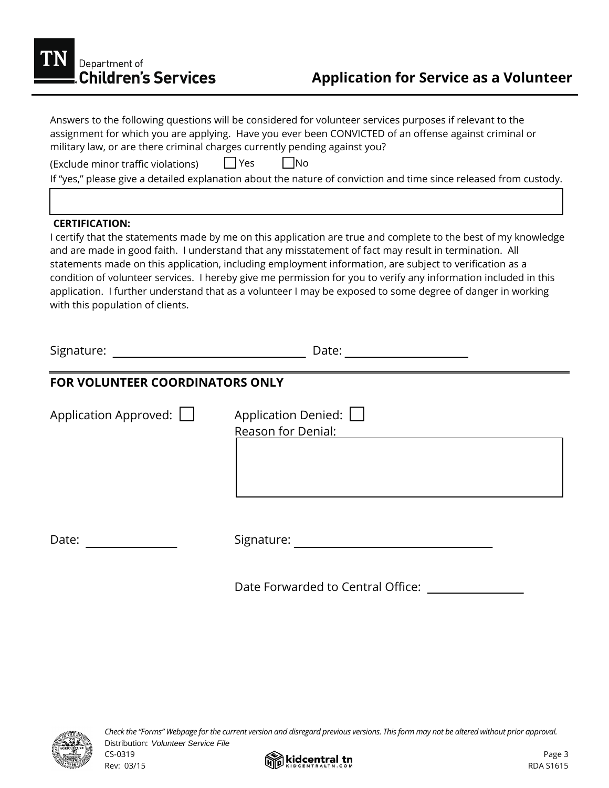

|                                    | Answers to the following questions will be considered for volunteer services purposes if relevant to the<br>assignment for which you are applying. Have you ever been CONVICTED of an offense against criminal or<br>military law, or are there criminal charges currently pending against you?                                                                                                                                                                                                                                                                     |
|------------------------------------|---------------------------------------------------------------------------------------------------------------------------------------------------------------------------------------------------------------------------------------------------------------------------------------------------------------------------------------------------------------------------------------------------------------------------------------------------------------------------------------------------------------------------------------------------------------------|
| (Exclude minor traffic violations) | $\Box$ No<br>$ $   Yes                                                                                                                                                                                                                                                                                                                                                                                                                                                                                                                                              |
|                                    | If "yes," please give a detailed explanation about the nature of conviction and time since released from custody.                                                                                                                                                                                                                                                                                                                                                                                                                                                   |
|                                    |                                                                                                                                                                                                                                                                                                                                                                                                                                                                                                                                                                     |
| <b>CERTIFICATION:</b>              |                                                                                                                                                                                                                                                                                                                                                                                                                                                                                                                                                                     |
| with this population of clients.   | I certify that the statements made by me on this application are true and complete to the best of my knowledge<br>and are made in good faith. I understand that any misstatement of fact may result in termination. All<br>statements made on this application, including employment information, are subject to verification as a<br>condition of volunteer services. I hereby give me permission for you to verify any information included in this<br>application. I further understand that as a volunteer I may be exposed to some degree of danger in working |
|                                    | Date: _ ____________________                                                                                                                                                                                                                                                                                                                                                                                                                                                                                                                                        |
| FOR VOLUNTEER COORDINATORS ONLY    |                                                                                                                                                                                                                                                                                                                                                                                                                                                                                                                                                                     |
| Application Approved: $\Box$       | Application Denied: $\Box$                                                                                                                                                                                                                                                                                                                                                                                                                                                                                                                                          |
|                                    | <b>Reason for Denial:</b>                                                                                                                                                                                                                                                                                                                                                                                                                                                                                                                                           |
| Date:                              | Signature: with the contract of the contract of the contract of the contract of the contract of the contract of the contract of the contract of the contract of the contract of the contract of the contract of the contract o                                                                                                                                                                                                                                                                                                                                      |
|                                    | Date Forwarded to Central Office:                                                                                                                                                                                                                                                                                                                                                                                                                                                                                                                                   |



*Check the "Forms" Webpage for the current version and disregard previous versions. This form may not be altered without prior approval.* Distribution: *Volunteer Service File*